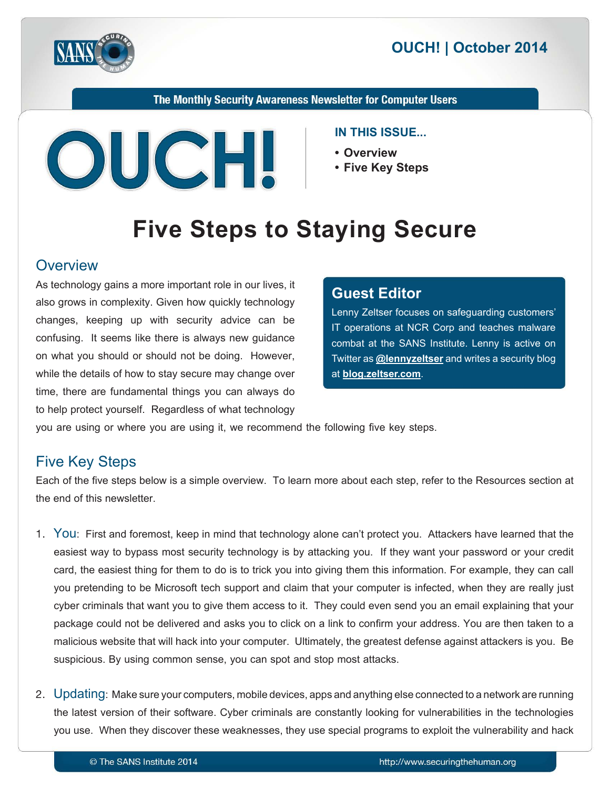



The Monthly Security Awareness Newsletter for Computer Users



#### **IN THIS ISSUE...**

- **Overview•**
- Five Key Steps

# **Five Steps to Staying Secure**

#### **Overview**

As technology gains a more important role in our lives, it also grows in complexity. Given how quickly technology changes, keeping up with security advice can be confusing. It seems like there is always new guidance on what you should or should not be doing. However, while the details of how to stay secure may change over time, there are fundamental things you can always do to help protect yourself. Regardless of what technology

#### **Editor Guest**

Lenny Zeltser focuses on safeguarding customers' IT operations at NCR Corp and teaches malware combat at the SANS Institute. Lenny is active on Fwitter as **@[lennyzeltser](https://twitter.com/lennyzeltser)** and writes a security blog at **blog.zeltser.com**.

you are using or where you are using it, we recommend the following five key steps.

# **Five Key Steps**

Each of the five steps below is a simple overview. To learn more about each step, refer to the Resources section at the end of this newsletter.

- 1. You: First and foremost, keep in mind that technology alone can't protect you. Attackers have learned that the easiest way to bypass most security technology is by attacking you. If they want your password or your credit card, the easiest thing for them to do is to trick you into giving them this information. For example, they can call you pretending to be Microsoft tech support and claim that your computer is infected, when they are really just cyber criminals that want you to give them access to it. They could even send you an email explaining that your package could not be delivered and asks you to click on a link to confirm your address. You are then taken to a malicious website that will hack into your computer. Ultimately, the greatest defense against attackers is you. Be suspicious. By using common sense, you can spot and stop most attacks.
- 2. Updating: Make sure your computers, mobile devices, apps and anything else connected to a network are running the latest version of their software. Cyber criminals are constantly looking for vulnerabilities in the technologies you use. When they discover these weaknesses, they use special programs to exploit the vulnerability and hack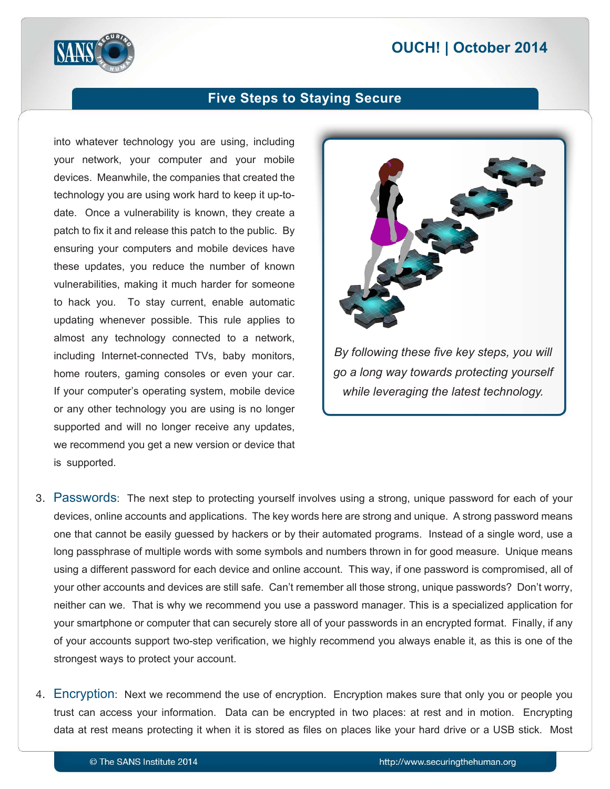# **2014 | October 2014**



#### **Five Steps to Staying Secure**

into whatever technology you are using, including your network, your computer and your mobile devices. Meanwhile, the companies that created the date. Once a vulnerability is known, they create a technology you are using work hard to keep it up-topatch to fix it and release this patch to the public. By ensuring your computers and mobile devices have these updates, you reduce the number of known vulnerabilities, making it much harder for someone to hack you. To stay current, enable automatic updating whenever possible. This rule applies to almost any technology connected to a network, including Internet-connected TVs, baby monitors, home routers, gaming consoles or even your car. If your computer's operating system, mobile device or any other technology you are using is no longer supported and will no longer receive any updates, we recommend you get a new version or device that is supported.



- 3. Passwords: The next step to protecting yourself involves using a strong, unique password for each of your devices, online accounts and applications. The key words here are strong and unique. A strong password means one that cannot be easily guessed by hackers or by their automated programs. Instead of a single word, use a long passphrase of multiple words with some symbols and numbers thrown in for good measure. Unique means using a different password for each device and online account. This way, if one password is compromised, all of your other accounts and devices are still safe. Can't remember all those strong, unique passwords? Don't worry, neither can we. That is why we recommend you use a password manager. This is a specialized application for your smartphone or computer that can securely store all of your passwords in an encrypted format. Finally, if any of your accounts support two-step verification, we highly recommend you always enable it, as this is one of the strongest ways to protect your account.
- 4. Encryption: Next we recommend the use of encryption. Encryption makes sure that only you or people you trust can access your information. Data can be encrypted in two places: at rest and in motion. Encrypting data at rest means protecting it when it is stored as files on places like your hard drive or a USB stick. Most